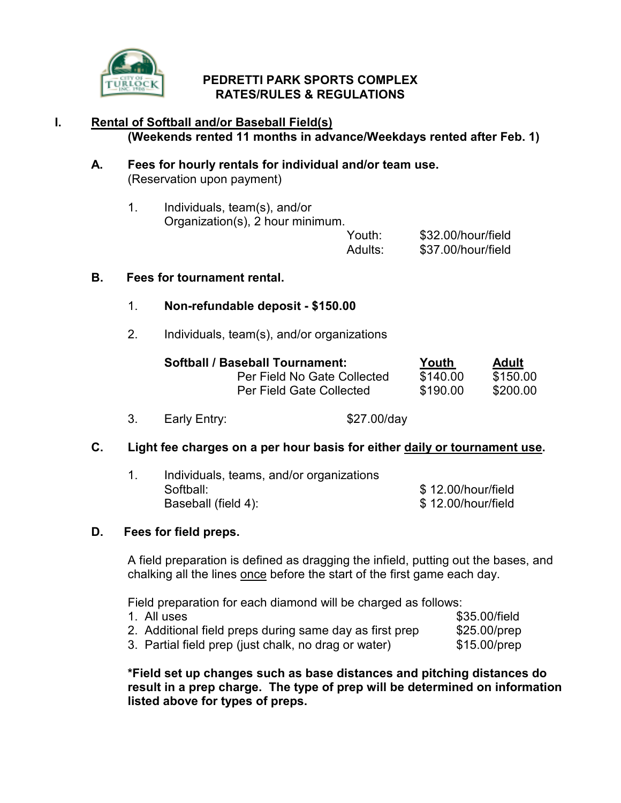

## PEDRETTI PARK SPORTS COMPLEX RATES/RULES & REGULATIONS

# I. Rental of Softball and/or Baseball Field(s) (Weekends rented 11 months in advance/Weekdays rented after Feb. 1)

### A. Fees for hourly rentals for individual and/or team use. (Reservation upon payment)

| Individuals, team(s), and/or     |        |        |
|----------------------------------|--------|--------|
| Organization(s), 2 hour minimum. |        |        |
|                                  | \/_+_. | 0.0000 |

#### Youth: \$32.00/hour/field Adults: \$37.00/hour/field

### B. Fees for tournament rental.

## 1. Non-refundable deposit - \$150.00

2. Individuals, team(s), and/or organizations

| <b>Softball / Baseball Tournament:</b> | Youth    | <b>Adult</b> |
|----------------------------------------|----------|--------------|
| Per Field No Gate Collected            | \$140.00 | \$150.00     |
| Per Field Gate Collected               | \$190.00 | \$200.00     |

3. Early Entry: \$27.00/day

# C. Light fee charges on a per hour basis for either daily or tournament use.

| Individuals, teams, and/or organizations |                    |
|------------------------------------------|--------------------|
| Softball:                                | \$12.00/hour/field |
| Baseball (field 4):                      | \$12.00/hour/field |

## D. Fees for field preps.

A field preparation is defined as dragging the infield, putting out the bases, and chalking all the lines once before the start of the first game each day.

Field preparation for each diamond will be charged as follows:

| 1. All uses                                             | \$35.00/field  |
|---------------------------------------------------------|----------------|
| 2. Additional field preps during same day as first prep | $$25.00/$ prep |
| 3. Partial field prep (just chalk, no drag or water)    | $$15.00/$ prep |

\*Field set up changes such as base distances and pitching distances do result in a prep charge. The type of prep will be determined on information listed above for types of preps.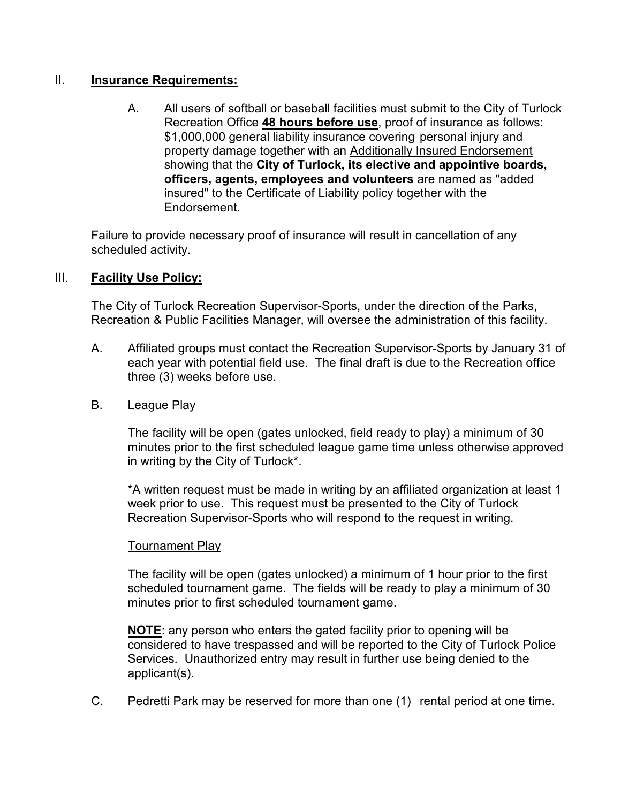#### II. Insurance Requirements:

 A. All users of softball or baseball facilities must submit to the City of Turlock Recreation Office 48 hours before use, proof of insurance as follows: \$1,000,000 general liability insurance covering personal injury and property damage together with an Additionally Insured Endorsement showing that the City of Turlock, its elective and appointive boards, officers, agents, employees and volunteers are named as "added insured" to the Certificate of Liability policy together with the Endorsement.

 Failure to provide necessary proof of insurance will result in cancellation of any scheduled activity.

## III. Facility Use Policy:

 The City of Turlock Recreation Supervisor-Sports, under the direction of the Parks, Recreation & Public Facilities Manager, will oversee the administration of this facility.

- A. Affiliated groups must contact the Recreation Supervisor-Sports by January 31 of each year with potential field use. The final draft is due to the Recreation office three (3) weeks before use.
- B. League Play

 The facility will be open (gates unlocked, field ready to play) a minimum of 30 minutes prior to the first scheduled league game time unless otherwise approved in writing by the City of Turlock\*.

 \*A written request must be made in writing by an affiliated organization at least 1 week prior to use. This request must be presented to the City of Turlock Recreation Supervisor-Sports who will respond to the request in writing.

#### **Tournament Play**

 The facility will be open (gates unlocked) a minimum of 1 hour prior to the first scheduled tournament game. The fields will be ready to play a minimum of 30 minutes prior to first scheduled tournament game.

 NOTE: any person who enters the gated facility prior to opening will be considered to have trespassed and will be reported to the City of Turlock Police Services. Unauthorized entry may result in further use being denied to the applicant(s).

C. Pedretti Park may be reserved for more than one (1) rental period at one time.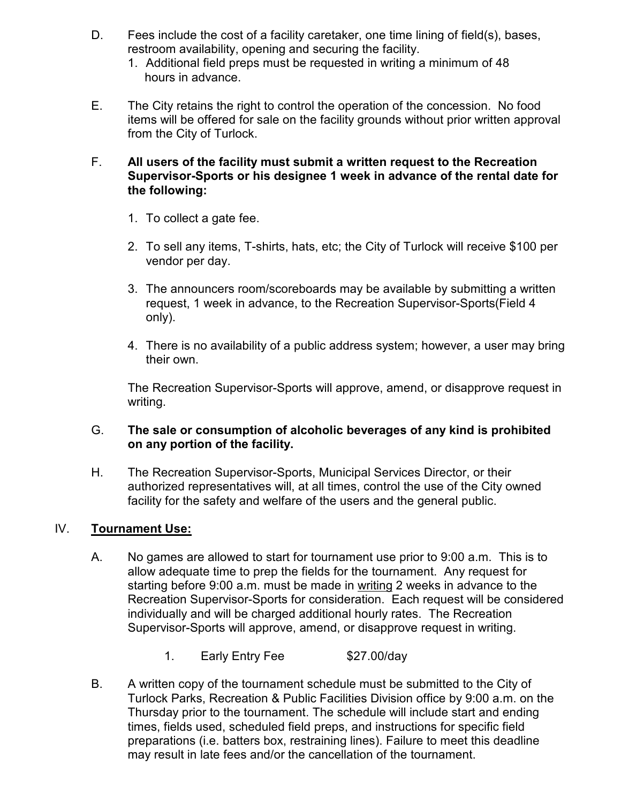- D. Fees include the cost of a facility caretaker, one time lining of field(s), bases, restroom availability, opening and securing the facility.
	- 1. Additional field preps must be requested in writing a minimum of 48 hours in advance.
- E. The City retains the right to control the operation of the concession. No food items will be offered for sale on the facility grounds without prior written approval from the City of Turlock.

#### F. All users of the facility must submit a written request to the Recreation Supervisor-Sports or his designee 1 week in advance of the rental date for the following:

- 1. To collect a gate fee.
- 2. To sell any items, T-shirts, hats, etc; the City of Turlock will receive \$100 per vendor per day.
- 3. The announcers room/scoreboards may be available by submitting a written request, 1 week in advance, to the Recreation Supervisor-Sports(Field 4 only).
- 4. There is no availability of a public address system; however, a user may bring their own.

 The Recreation Supervisor-Sports will approve, amend, or disapprove request in writing.

## G. The sale or consumption of alcoholic beverages of any kind is prohibited on any portion of the facility.

 H. The Recreation Supervisor-Sports, Municipal Services Director, or their authorized representatives will, at all times, control the use of the City owned facility for the safety and welfare of the users and the general public.

## IV. Tournament Use:

- A. No games are allowed to start for tournament use prior to 9:00 a.m. This is to allow adequate time to prep the fields for the tournament. Any request for starting before 9:00 a.m. must be made in writing 2 weeks in advance to the Recreation Supervisor-Sports for consideration. Each request will be considered individually and will be charged additional hourly rates. The Recreation Supervisor-Sports will approve, amend, or disapprove request in writing.
	- 1. Early Entry Fee \$27.00/day
- B. A written copy of the tournament schedule must be submitted to the City of Turlock Parks, Recreation & Public Facilities Division office by 9:00 a.m. on the Thursday prior to the tournament. The schedule will include start and ending times, fields used, scheduled field preps, and instructions for specific field preparations (i.e. batters box, restraining lines). Failure to meet this deadline may result in late fees and/or the cancellation of the tournament.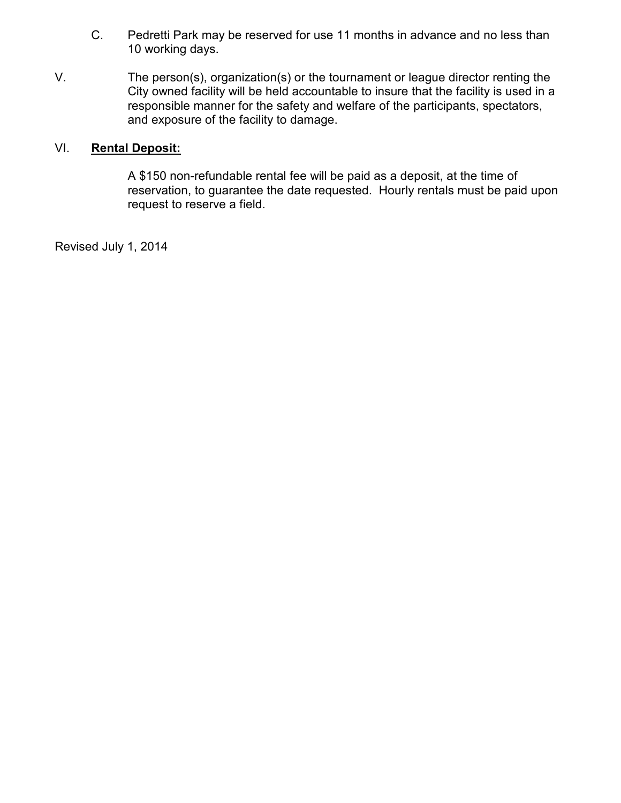- C. Pedretti Park may be reserved for use 11 months in advance and no less than 10 working days.
- V. The person(s), organization(s) or the tournament or league director renting the City owned facility will be held accountable to insure that the facility is used in a responsible manner for the safety and welfare of the participants, spectators, and exposure of the facility to damage.

## VI. Rental Deposit:

 A \$150 non-refundable rental fee will be paid as a deposit, at the time of reservation, to guarantee the date requested. Hourly rentals must be paid upon request to reserve a field.

Revised July 1, 2014